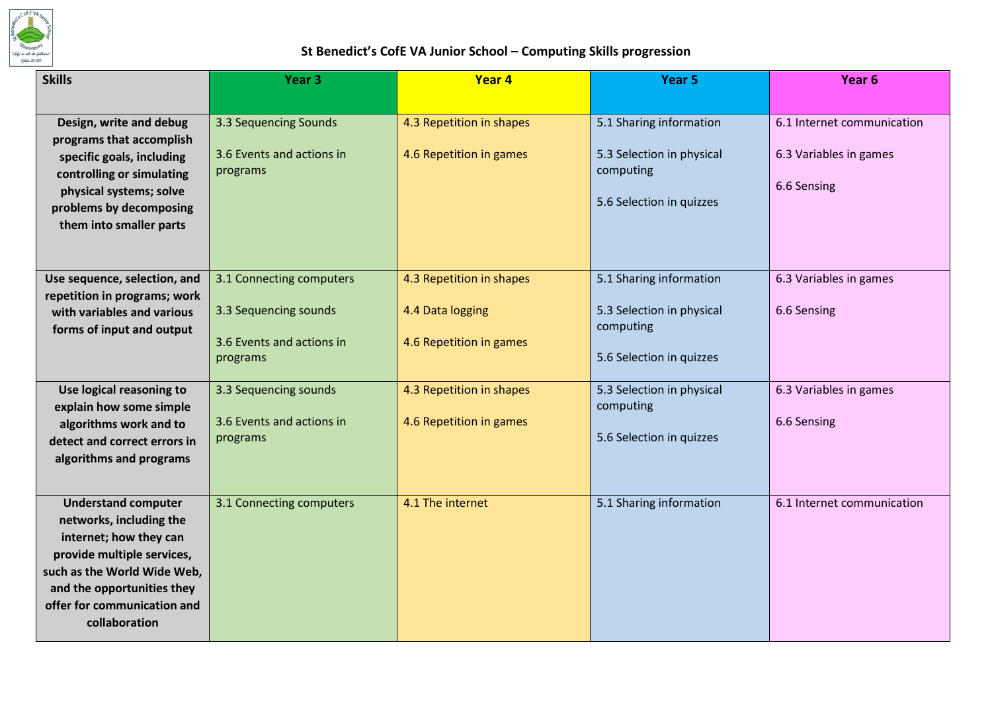

## **St Benedict's CofE VA Junior School – Computing Skills progression**

| <b>Skills</b>                                                                                                                                                                                                              | Year <sub>3</sub>                                                                          | Year 4                                                                  | Year 5                                                                                        | Year <sub>6</sub>                                                   |
|----------------------------------------------------------------------------------------------------------------------------------------------------------------------------------------------------------------------------|--------------------------------------------------------------------------------------------|-------------------------------------------------------------------------|-----------------------------------------------------------------------------------------------|---------------------------------------------------------------------|
|                                                                                                                                                                                                                            |                                                                                            |                                                                         |                                                                                               |                                                                     |
| Design, write and debug<br>programs that accomplish<br>specific goals, including<br>controlling or simulating<br>physical systems; solve<br>problems by decomposing<br>them into smaller parts                             | 3.3 Sequencing Sounds<br>3.6 Events and actions in<br>programs                             | 4.3 Repetition in shapes<br>4.6 Repetition in games                     | 5.1 Sharing information<br>5.3 Selection in physical<br>computing<br>5.6 Selection in quizzes | 6.1 Internet communication<br>6.3 Variables in games<br>6.6 Sensing |
| Use sequence, selection, and<br>repetition in programs; work<br>with variables and various<br>forms of input and output                                                                                                    | 3.1 Connecting computers<br>3.3 Sequencing sounds<br>3.6 Events and actions in<br>programs | 4.3 Repetition in shapes<br>4.4 Data logging<br>4.6 Repetition in games | 5.1 Sharing information<br>5.3 Selection in physical<br>computing<br>5.6 Selection in quizzes | 6.3 Variables in games<br>6.6 Sensing                               |
| Use logical reasoning to<br>explain how some simple<br>algorithms work and to<br>detect and correct errors in<br>algorithms and programs                                                                                   | 3.3 Sequencing sounds<br>3.6 Events and actions in<br>programs                             | 4.3 Repetition in shapes<br>4.6 Repetition in games                     | 5.3 Selection in physical<br>computing<br>5.6 Selection in quizzes                            | 6.3 Variables in games<br>6.6 Sensing                               |
| <b>Understand computer</b><br>networks, including the<br>internet; how they can<br>provide multiple services,<br>such as the World Wide Web,<br>and the opportunities they<br>offer for communication and<br>collaboration | 3.1 Connecting computers                                                                   | 4.1 The internet                                                        | 5.1 Sharing information                                                                       | 6.1 Internet communication                                          |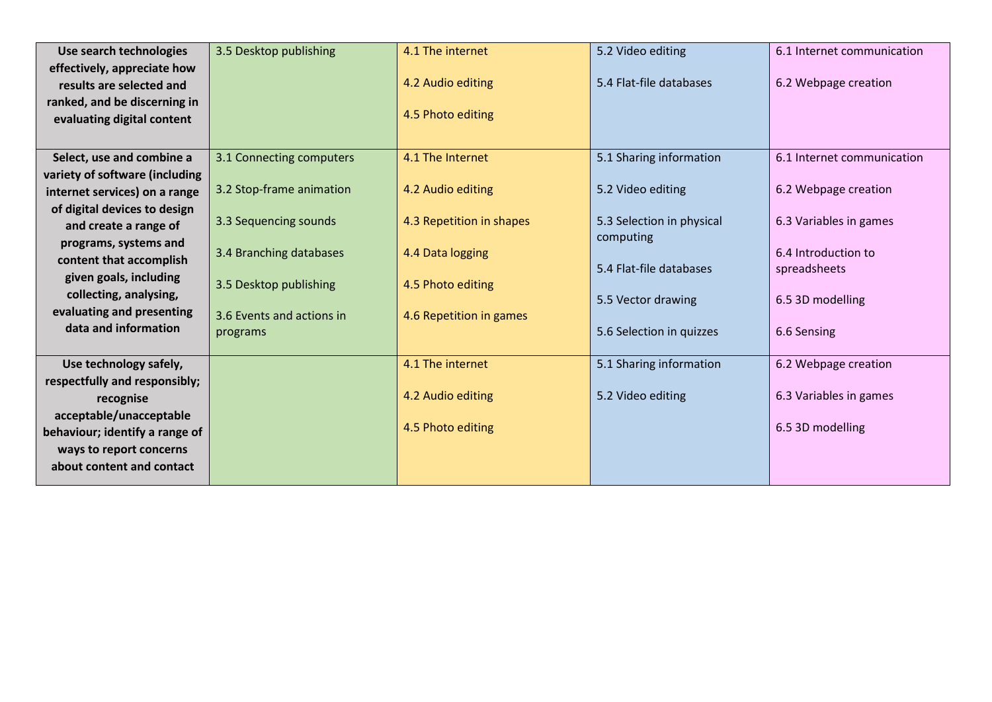| Use search technologies        | 3.5 Desktop publishing    | 4.1 The internet         | 5.2 Video editing         | 6.1 Internet communication |
|--------------------------------|---------------------------|--------------------------|---------------------------|----------------------------|
| effectively, appreciate how    |                           |                          |                           |                            |
| results are selected and       |                           | 4.2 Audio editing        | 5.4 Flat-file databases   | 6.2 Webpage creation       |
| ranked, and be discerning in   |                           |                          |                           |                            |
| evaluating digital content     |                           | 4.5 Photo editing        |                           |                            |
|                                |                           |                          |                           |                            |
| Select, use and combine a      | 3.1 Connecting computers  | 4.1 The Internet         | 5.1 Sharing information   | 6.1 Internet communication |
| variety of software (including |                           |                          |                           |                            |
| internet services) on a range  | 3.2 Stop-frame animation  | 4.2 Audio editing        | 5.2 Video editing         | 6.2 Webpage creation       |
| of digital devices to design   |                           |                          |                           |                            |
| and create a range of          | 3.3 Sequencing sounds     | 4.3 Repetition in shapes | 5.3 Selection in physical | 6.3 Variables in games     |
| programs, systems and          | 3.4 Branching databases   | 4.4 Data logging         | computing                 | 6.4 Introduction to        |
| content that accomplish        |                           |                          | 5.4 Flat-file databases   | spreadsheets               |
| given goals, including         | 3.5 Desktop publishing    | 4.5 Photo editing        |                           |                            |
| collecting, analysing,         |                           |                          | 5.5 Vector drawing        | 6.5 3D modelling           |
| evaluating and presenting      | 3.6 Events and actions in | 4.6 Repetition in games  |                           |                            |
| data and information           | programs                  |                          | 5.6 Selection in quizzes  | 6.6 Sensing                |
|                                |                           |                          |                           |                            |
| Use technology safely,         |                           | 4.1 The internet         | 5.1 Sharing information   | 6.2 Webpage creation       |
| respectfully and responsibly;  |                           |                          |                           |                            |
| recognise                      |                           | 4.2 Audio editing        | 5.2 Video editing         | 6.3 Variables in games     |
| acceptable/unacceptable        |                           |                          |                           |                            |
| behaviour; identify a range of |                           | 4.5 Photo editing        |                           | 6.5 3D modelling           |
| ways to report concerns        |                           |                          |                           |                            |
| about content and contact      |                           |                          |                           |                            |
|                                |                           |                          |                           |                            |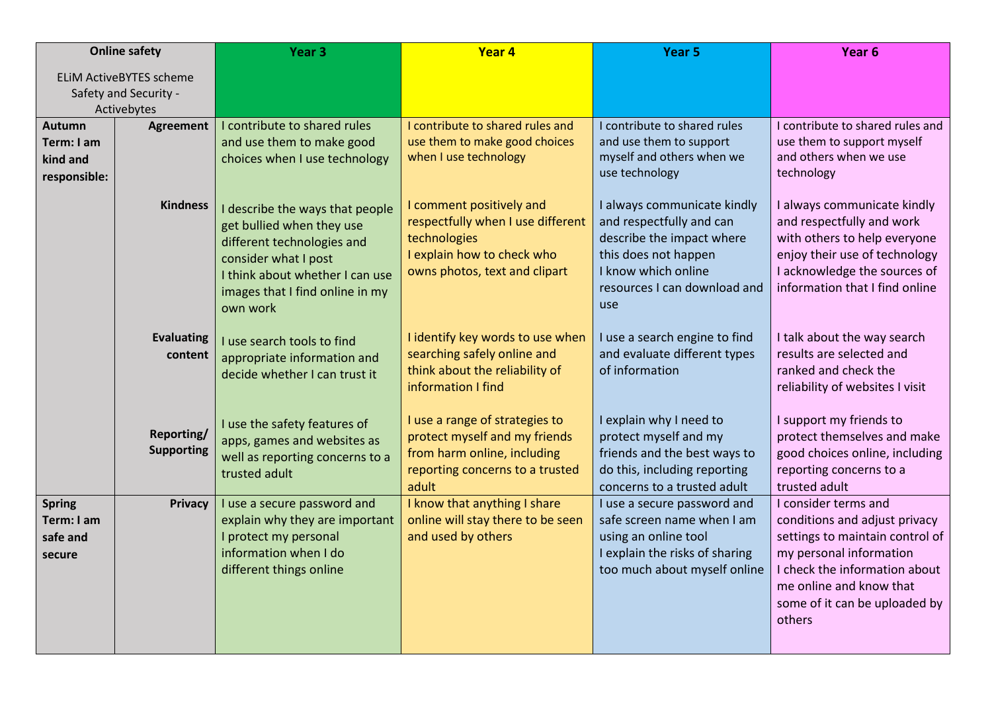|                                                         | <b>Online safety</b>                                                   | Year <sub>3</sub>                                                                                                                                                                                    | Year 4                                                                                                                                       | Year 5                                                                                                                                                                     | Year 6                                                                                                                                                                                                                     |
|---------------------------------------------------------|------------------------------------------------------------------------|------------------------------------------------------------------------------------------------------------------------------------------------------------------------------------------------------|----------------------------------------------------------------------------------------------------------------------------------------------|----------------------------------------------------------------------------------------------------------------------------------------------------------------------------|----------------------------------------------------------------------------------------------------------------------------------------------------------------------------------------------------------------------------|
|                                                         | <b>ELIM ActiveBYTES scheme</b><br>Safety and Security -<br>Activebytes |                                                                                                                                                                                                      |                                                                                                                                              |                                                                                                                                                                            |                                                                                                                                                                                                                            |
| <b>Autumn</b><br>Term: I am<br>kind and<br>responsible: | <b>Agreement</b>                                                       | I contribute to shared rules<br>and use them to make good<br>choices when I use technology                                                                                                           | I contribute to shared rules and<br>use them to make good choices<br>when I use technology                                                   | I contribute to shared rules<br>and use them to support<br>myself and others when we<br>use technology                                                                     | I contribute to shared rules and<br>use them to support myself<br>and others when we use<br>technology                                                                                                                     |
|                                                         | <b>Kindness</b>                                                        | I describe the ways that people<br>get bullied when they use<br>different technologies and<br>consider what I post<br>I think about whether I can use<br>images that I find online in my<br>own work | I comment positively and<br>respectfully when I use different<br>technologies<br>I explain how to check who<br>owns photos, text and clipart | I always communicate kindly<br>and respectfully and can<br>describe the impact where<br>this does not happen<br>I know which online<br>resources I can download and<br>use | I always communicate kindly<br>and respectfully and work<br>with others to help everyone<br>enjoy their use of technology<br>I acknowledge the sources of<br>information that I find online                                |
|                                                         | <b>Evaluating</b><br>content                                           | I use search tools to find<br>appropriate information and<br>decide whether I can trust it                                                                                                           | I identify key words to use when<br>searching safely online and<br>think about the reliability of<br>information I find                      | I use a search engine to find<br>and evaluate different types<br>of information                                                                                            | I talk about the way search<br>results are selected and<br>ranked and check the<br>reliability of websites I visit                                                                                                         |
|                                                         | Reporting/<br><b>Supporting</b>                                        | I use the safety features of<br>apps, games and websites as<br>well as reporting concerns to a<br>trusted adult                                                                                      | I use a range of strategies to<br>protect myself and my friends<br>from harm online, including<br>reporting concerns to a trusted<br>adult   | I explain why I need to<br>protect myself and my<br>friends and the best ways to<br>do this, including reporting<br>concerns to a trusted adult                            | I support my friends to<br>protect themselves and make<br>good choices online, including<br>reporting concerns to a<br>trusted adult                                                                                       |
| <b>Spring</b><br>Term: I am<br>safe and<br>secure       | <b>Privacy</b>                                                         | I use a secure password and<br>explain why they are important<br>I protect my personal<br>information when I do<br>different things online                                                           | I know that anything I share<br>online will stay there to be seen<br>and used by others                                                      | I use a secure password and<br>safe screen name when I am<br>using an online tool<br>I explain the risks of sharing<br>too much about myself online                        | I consider terms and<br>conditions and adjust privacy<br>settings to maintain control of<br>my personal information<br>I check the information about<br>me online and know that<br>some of it can be uploaded by<br>others |